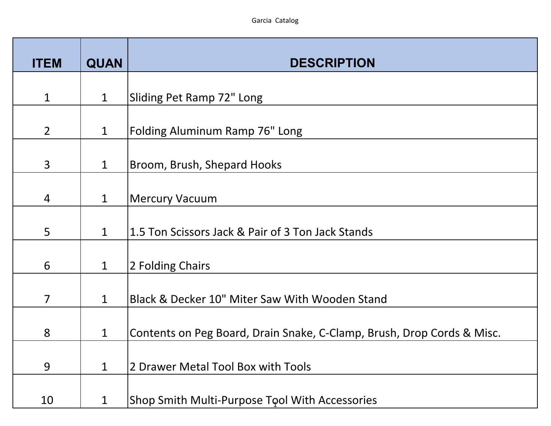| <b>ITEM</b>    | <b>QUAN</b>  | <b>DESCRIPTION</b>                                                     |
|----------------|--------------|------------------------------------------------------------------------|
|                |              |                                                                        |
| $\mathbf{1}$   | $\mathbf{1}$ | Sliding Pet Ramp 72" Long                                              |
| $\overline{2}$ | $\mathbf{1}$ | <b>Folding Aluminum Ramp 76" Long</b>                                  |
| $\overline{3}$ | $\mathbf{1}$ | Broom, Brush, Shepard Hooks                                            |
| 4              | $\mathbf{1}$ | <b>Mercury Vacuum</b>                                                  |
| 5              | $\mathbf{1}$ | 1.5 Ton Scissors Jack & Pair of 3 Ton Jack Stands                      |
| 6              | $\mathbf 1$  | 2 Folding Chairs                                                       |
| $\overline{7}$ | $\mathbf{1}$ | Black & Decker 10" Miter Saw With Wooden Stand                         |
| 8              | $\mathbf 1$  | Contents on Peg Board, Drain Snake, C-Clamp, Brush, Drop Cords & Misc. |
| 9              | $\mathbf{1}$ | 2 Drawer Metal Tool Box with Tools                                     |
| 10             | $\mathbf 1$  | Shop Smith Multi-Purpose Tool With Accessories                         |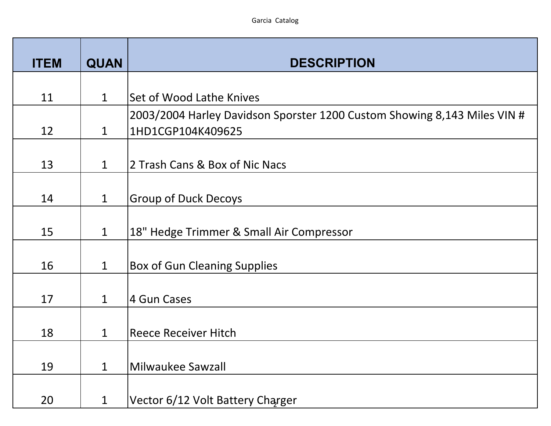| <b>ITEM</b> | <b>QUAN</b>  | <b>DESCRIPTION</b>                                                       |
|-------------|--------------|--------------------------------------------------------------------------|
|             |              |                                                                          |
| 11          | $\mathbf{1}$ | Set of Wood Lathe Knives                                                 |
|             |              | 2003/2004 Harley Davidson Sporster 1200 Custom Showing 8,143 Miles VIN # |
| 12          | $\mathbf{1}$ | 1HD1CGP104K409625                                                        |
|             |              |                                                                          |
| 13          | $\mathbf{1}$ | 2 Trash Cans & Box of Nic Nacs                                           |
|             |              |                                                                          |
| 14          | $\mathbf{1}$ | <b>Group of Duck Decoys</b>                                              |
|             |              |                                                                          |
| 15          | $\mathbf{1}$ | 18" Hedge Trimmer & Small Air Compressor                                 |
|             |              |                                                                          |
| 16          | $\mathbf{1}$ | <b>Box of Gun Cleaning Supplies</b>                                      |
|             |              |                                                                          |
| 17          | $\mathbf{1}$ | 4 Gun Cases                                                              |
|             |              |                                                                          |
| 18          | $\mathbf 1$  | <b>Reece Receiver Hitch</b>                                              |
|             |              |                                                                          |
| 19          | $\mathbf{1}$ | Milwaukee Sawzall                                                        |
|             |              |                                                                          |
| 20          | $\mathbf 1$  | Vector 6/12 Volt Battery Charger                                         |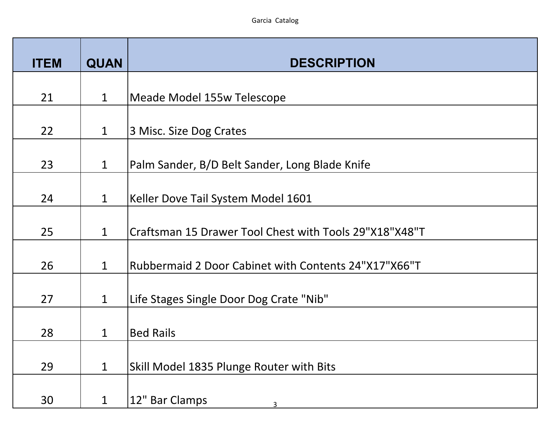| <b>ITEM</b> | <b>QUAN</b>  | <b>DESCRIPTION</b>                                     |
|-------------|--------------|--------------------------------------------------------|
| 21          | $\mathbf{1}$ | Meade Model 155w Telescope                             |
|             |              |                                                        |
| 22          | $\mathbf{1}$ | 3 Misc. Size Dog Crates                                |
| 23          | $\mathbf{1}$ | Palm Sander, B/D Belt Sander, Long Blade Knife         |
| 24          | $\mathbf{1}$ | Keller Dove Tail System Model 1601                     |
| 25          | $\mathbf{1}$ | Craftsman 15 Drawer Tool Chest with Tools 29"X18"X48"T |
| 26          | $\mathbf{1}$ | Rubbermaid 2 Door Cabinet with Contents 24"X17"X66"T   |
| 27          | $\mathbf{1}$ | Life Stages Single Door Dog Crate "Nib"                |
| 28          | $\mathbf{1}$ | <b>Bed Rails</b>                                       |
| 29          | $\mathbf{1}$ | Skill Model 1835 Plunge Router with Bits               |
| 30          | 1            | 12" Bar Clamps                                         |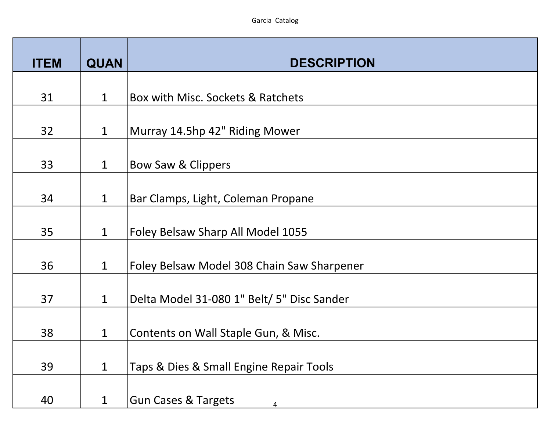| <b>ITEM</b> | <b>QUAN</b>  | <b>DESCRIPTION</b>                         |
|-------------|--------------|--------------------------------------------|
|             |              |                                            |
| 31          | $\mathbf{1}$ | Box with Misc. Sockets & Ratchets          |
| 32          | $\mathbf{1}$ | Murray 14.5hp 42" Riding Mower             |
| 33          | $\mathbf{1}$ | Bow Saw & Clippers                         |
| 34          | $\mathbf{1}$ | Bar Clamps, Light, Coleman Propane         |
| 35          | $\mathbf{1}$ | Foley Belsaw Sharp All Model 1055          |
| 36          | $\mathbf{1}$ | Foley Belsaw Model 308 Chain Saw Sharpener |
| 37          | $\mathbf 1$  | Delta Model 31-080 1" Belt/ 5" Disc Sander |
| 38          | $\mathbf{1}$ | Contents on Wall Staple Gun, & Misc.       |
| 39          | $\mathbf 1$  | Taps & Dies & Small Engine Repair Tools    |
| 40          | 1            | <b>Gun Cases &amp; Targets</b><br>4        |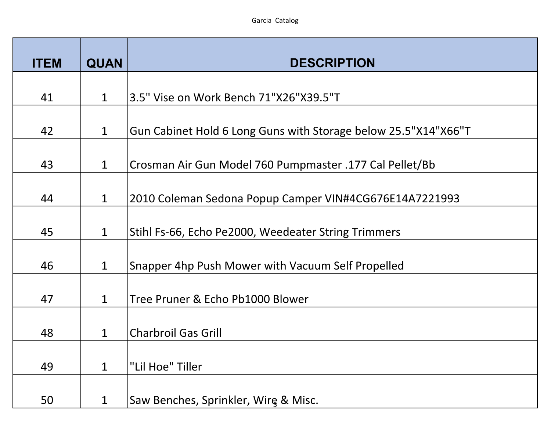| <b>ITEM</b> | <b>QUAN</b>  | <b>DESCRIPTION</b>                                             |
|-------------|--------------|----------------------------------------------------------------|
| 41          | $\mathbf{1}$ | 3.5" Vise on Work Bench 71"X26"X39.5"T                         |
| 42          | $\mathbf 1$  | Gun Cabinet Hold 6 Long Guns with Storage below 25.5"X14"X66"T |
| 43          | $\mathbf{1}$ | Crosman Air Gun Model 760 Pumpmaster .177 Cal Pellet/Bb        |
| 44          | $\mathbf 1$  | 2010 Coleman Sedona Popup Camper VIN#4CG676E14A7221993         |
| 45          | $\mathbf 1$  | Stihl Fs-66, Echo Pe2000, Weedeater String Trimmers            |
| 46          | $\mathbf 1$  | Snapper 4hp Push Mower with Vacuum Self Propelled              |
| 47          | $\mathbf{1}$ | Tree Pruner & Echo Pb1000 Blower                               |
| 48          | $\mathbf{1}$ | <b>Charbroil Gas Grill</b>                                     |
| 49          | $\mathbf 1$  | "Lil Hoe" Tiller                                               |
| 50          | $\mathbf 1$  | Saw Benches, Sprinkler, Wire & Misc.                           |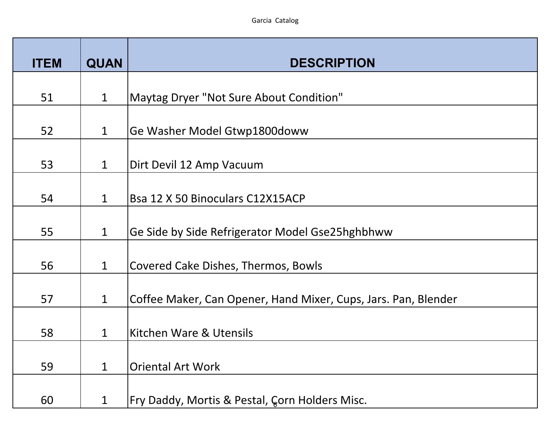| <b>ITEM</b> | <b>QUAN</b>  | <b>DESCRIPTION</b>                                             |
|-------------|--------------|----------------------------------------------------------------|
| 51          | $\mathbf{1}$ | Maytag Dryer "Not Sure About Condition"                        |
|             |              |                                                                |
| 52          | $\mathbf{1}$ | Ge Washer Model Gtwp1800doww                                   |
| 53          | $\mathbf{1}$ | Dirt Devil 12 Amp Vacuum                                       |
| 54          | $\mathbf 1$  | Bsa 12 X 50 Binoculars C12X15ACP                               |
| 55          | $\mathbf{1}$ | Ge Side by Side Refrigerator Model Gse25hghbhww                |
| 56          | $\mathbf{1}$ | Covered Cake Dishes, Thermos, Bowls                            |
| 57          | $\mathbf{1}$ | Coffee Maker, Can Opener, Hand Mixer, Cups, Jars. Pan, Blender |
| 58          | $\mathbf{1}$ | Kitchen Ware & Utensils                                        |
| 59          | $\mathbf 1$  | <b>Oriental Art Work</b>                                       |
| 60          | $\mathbf 1$  | Fry Daddy, Mortis & Pestal, Gorn Holders Misc.                 |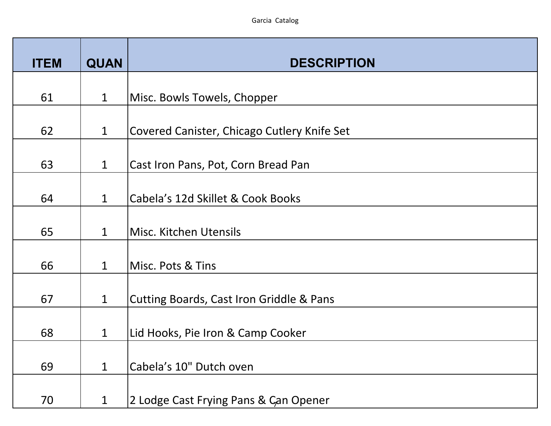| <b>ITEM</b> | <b>QUAN</b>  | <b>DESCRIPTION</b>                                  |
|-------------|--------------|-----------------------------------------------------|
| 61          | $\mathbf{1}$ | Misc. Bowls Towels, Chopper                         |
|             |              |                                                     |
| 62          | $\mathbf{1}$ | Covered Canister, Chicago Cutlery Knife Set         |
| 63          | $\mathbf{1}$ | Cast Iron Pans, Pot, Corn Bread Pan                 |
| 64          | $\mathbf{1}$ | Cabela's 12d Skillet & Cook Books                   |
| 65          | $\mathbf{1}$ | Misc. Kitchen Utensils                              |
| 66          | $\mathbf{1}$ | Misc. Pots & Tins                                   |
| 67          | $\mathbf 1$  | <b>Cutting Boards, Cast Iron Griddle &amp; Pans</b> |
| 68          | $\mathbf{1}$ | Lid Hooks, Pie Iron & Camp Cooker                   |
| 69          | $\mathbf{1}$ | Cabela's 10" Dutch oven                             |
| 70          | $\mathbf 1$  | 2 Lodge Cast Frying Pans & Can Opener               |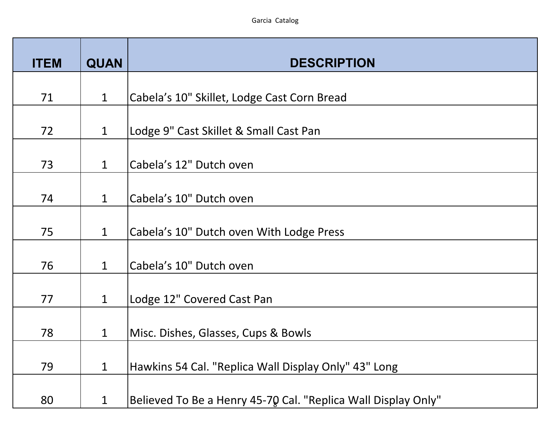| <b>ITEM</b> | <b>QUAN</b>  | <b>DESCRIPTION</b>                                            |
|-------------|--------------|---------------------------------------------------------------|
| 71          | $\mathbf{1}$ | Cabela's 10" Skillet, Lodge Cast Corn Bread                   |
|             |              |                                                               |
| 72          | $\mathbf 1$  | Lodge 9" Cast Skillet & Small Cast Pan                        |
| 73          | $\mathbf{1}$ | Cabela's 12" Dutch oven                                       |
| 74          | $\mathbf{1}$ | Cabela's 10" Dutch oven                                       |
| 75          | $\mathbf{1}$ | Cabela's 10" Dutch oven With Lodge Press                      |
| 76          | $\mathbf{1}$ | Cabela's 10" Dutch oven                                       |
| 77          | $\mathbf 1$  | Lodge 12" Covered Cast Pan                                    |
| 78          | $\mathbf{1}$ | Misc. Dishes, Glasses, Cups & Bowls                           |
| 79          | $\mathbf{1}$ | Hawkins 54 Cal. "Replica Wall Display Only" 43" Long          |
| 80          | 1            | Believed To Be a Henry 45-70 Cal. "Replica Wall Display Only" |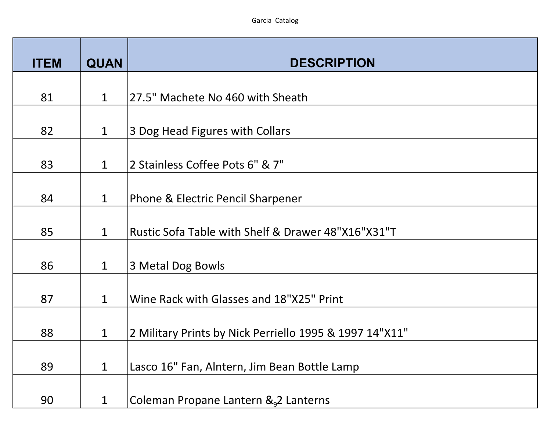| <b>ITEM</b> | <b>QUAN</b>  | <b>DESCRIPTION</b>                                      |
|-------------|--------------|---------------------------------------------------------|
| 81          | $\mathbf 1$  | 27.5" Machete No 460 with Sheath                        |
|             |              |                                                         |
| 82          | $\mathbf{1}$ | 3 Dog Head Figures with Collars                         |
| 83          | $\mathbf{1}$ | 2 Stainless Coffee Pots 6" & 7"                         |
| 84          | $\mathbf 1$  | Phone & Electric Pencil Sharpener                       |
| 85          | $\mathbf{1}$ | Rustic Sofa Table with Shelf & Drawer 48"X16"X31"T      |
| 86          | $\mathbf{1}$ | 3 Metal Dog Bowls                                       |
| 87          | $\mathbf{1}$ | Wine Rack with Glasses and 18"X25" Print                |
| 88          | $\mathbf{1}$ | 2 Military Prints by Nick Perriello 1995 & 1997 14"X11" |
| 89          | $\mathbf 1$  | Lasco 16" Fan, Alntern, Jim Bean Bottle Lamp            |
| 90          | $\mathbf{1}$ | Coleman Propane Lantern & 2 Lanterns                    |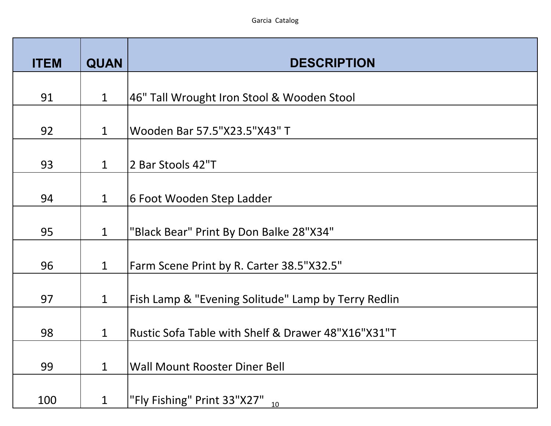| <b>ITEM</b> | <b>QUAN</b>  | <b>DESCRIPTION</b>                                  |
|-------------|--------------|-----------------------------------------------------|
| 91          | $\mathbf{1}$ | 46" Tall Wrought Iron Stool & Wooden Stool          |
|             |              |                                                     |
| 92          | $\mathbf{1}$ | Wooden Bar 57.5"X23.5"X43" T                        |
| 93          | $\mathbf{1}$ | 2 Bar Stools 42"T                                   |
| 94          | $\mathbf{1}$ | 6 Foot Wooden Step Ladder                           |
| 95          | $\mathbf{1}$ | "Black Bear" Print By Don Balke 28"X34"             |
| 96          | $\mathbf 1$  | Farm Scene Print by R. Carter 38.5"X32.5"           |
| 97          | $\mathbf 1$  | Fish Lamp & "Evening Solitude" Lamp by Terry Redlin |
| 98          | $\mathbf{1}$ | Rustic Sofa Table with Shelf & Drawer 48"X16"X31"T  |
| 99          | $\mathbf{1}$ | <b>Wall Mount Rooster Diner Bell</b>                |
| 100         | 1            | "Fly Fishing" Print 33"X27" <sub>10</sub>           |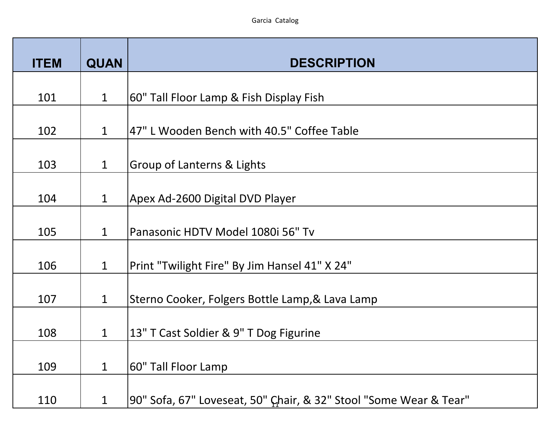| <b>ITEM</b> | <b>QUAN</b>  | <b>DESCRIPTION</b>                                                |
|-------------|--------------|-------------------------------------------------------------------|
| 101         | $\mathbf{1}$ | 60" Tall Floor Lamp & Fish Display Fish                           |
| 102         | $\mathbf{1}$ | 47" L Wooden Bench with 40.5" Coffee Table                        |
|             |              |                                                                   |
| 103         | $\mathbf{1}$ | <b>Group of Lanterns &amp; Lights</b>                             |
| 104         | $\mathbf{1}$ | Apex Ad-2600 Digital DVD Player                                   |
| 105         | $\mathbf{1}$ | Panasonic HDTV Model 1080i 56" Tv                                 |
| 106         | $\mathbf 1$  | Print "Twilight Fire" By Jim Hansel 41" X 24"                     |
| 107         | $\mathbf 1$  | Sterno Cooker, Folgers Bottle Lamp, & Lava Lamp                   |
| 108         | $\mathbf{1}$ | 13" T Cast Soldier & 9" T Dog Figurine                            |
| 109         | 1            | 60" Tall Floor Lamp                                               |
| 110         | $\mathbf 1$  | 90" Sofa, 67" Loveseat, 50" Chair, & 32" Stool "Some Wear & Tear" |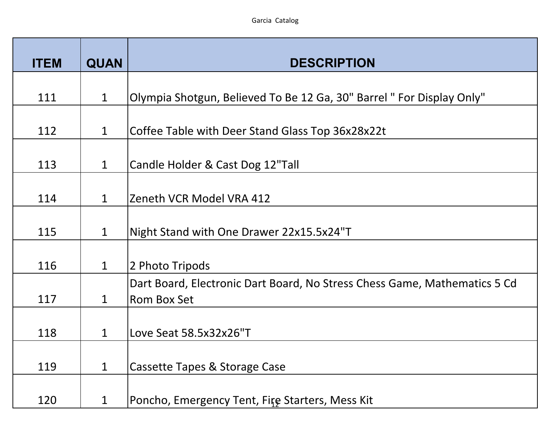| <b>ITEM</b> | <b>QUAN</b>  | <b>DESCRIPTION</b>                                                                              |
|-------------|--------------|-------------------------------------------------------------------------------------------------|
| 111         | $\mathbf{1}$ | Olympia Shotgun, Believed To Be 12 Ga, 30" Barrel " For Display Only"                           |
| 112         | $\mathbf{1}$ | Coffee Table with Deer Stand Glass Top 36x28x22t                                                |
|             |              |                                                                                                 |
| 113         | $\mathbf{1}$ | Candle Holder & Cast Dog 12"Tall                                                                |
| 114         | $\mathbf{1}$ | Zeneth VCR Model VRA 412                                                                        |
| 115         | $\mathbf 1$  | Night Stand with One Drawer 22x15.5x24"T                                                        |
| 116         | $\mathbf{1}$ | 2 Photo Tripods                                                                                 |
| 117         | $\mathbf{1}$ | Dart Board, Electronic Dart Board, No Stress Chess Game, Mathematics 5 Cd<br><b>Rom Box Set</b> |
| 118         | $\mathbf{1}$ | Love Seat 58.5x32x26"T                                                                          |
| 119         | $\mathbf{1}$ | Cassette Tapes & Storage Case                                                                   |
| 120         | 1            | Poncho, Emergency Tent, Fire Starters, Mess Kit                                                 |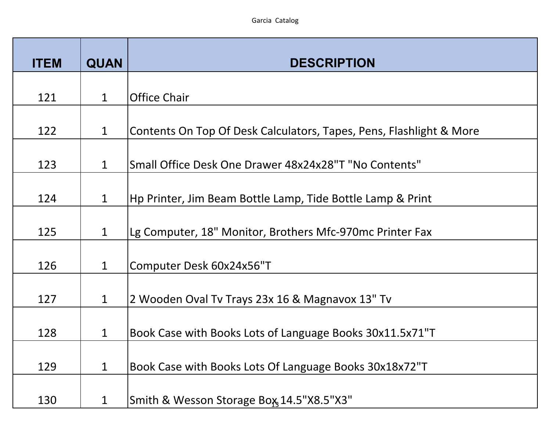| <b>ITEM</b> | <b>QUAN</b>  | <b>DESCRIPTION</b>                                                  |
|-------------|--------------|---------------------------------------------------------------------|
| 121         | $\mathbf{1}$ | <b>Office Chair</b>                                                 |
| 122         | $\mathbf{1}$ | Contents On Top Of Desk Calculators, Tapes, Pens, Flashlight & More |
| 123         | $\mathbf 1$  | Small Office Desk One Drawer 48x24x28"T "No Contents"               |
| 124         | $\mathbf 1$  | Hp Printer, Jim Beam Bottle Lamp, Tide Bottle Lamp & Print          |
| 125         | $\mathbf{1}$ | Lg Computer, 18" Monitor, Brothers Mfc-970mc Printer Fax            |
| 126         | $\mathbf{1}$ | Computer Desk 60x24x56"T                                            |
| 127         | $\mathbf 1$  | 2 Wooden Oval Tv Trays 23x 16 & Magnavox 13" Tv                     |
| 128         | $\mathbf{1}$ | Book Case with Books Lots of Language Books 30x11.5x71"T            |
| 129         | 1            | Book Case with Books Lots Of Language Books 30x18x72"T              |
| 130         | $\mathbf 1$  | Smith & Wesson Storage Box, 14.5"X8.5"X3"                           |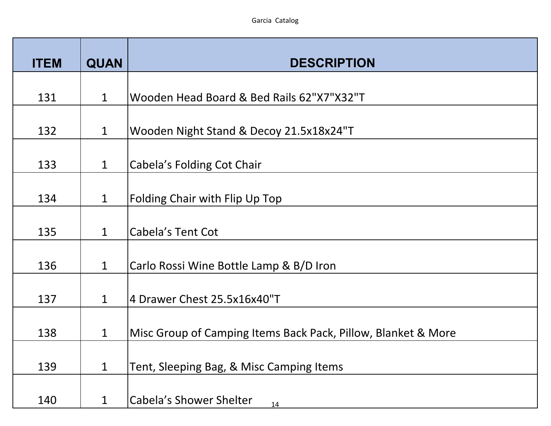| <b>ITEM</b> | <b>QUAN</b>  | <b>DESCRIPTION</b>                                            |
|-------------|--------------|---------------------------------------------------------------|
| 131         | $\mathbf{1}$ | Wooden Head Board & Bed Rails 62"X7"X32"T                     |
| 132         | $\mathbf{1}$ | Wooden Night Stand & Decoy 21.5x18x24"T                       |
| 133         | $\mathbf{1}$ | Cabela's Folding Cot Chair                                    |
|             |              |                                                               |
| 134         | $\mathbf{1}$ | <b>Folding Chair with Flip Up Top</b>                         |
| 135         | $\mathbf{1}$ | Cabela's Tent Cot                                             |
| 136         | $\mathbf{1}$ | Carlo Rossi Wine Bottle Lamp & B/D Iron                       |
| 137         | $\mathbf{1}$ | 4 Drawer Chest 25.5x16x40"T                                   |
| 138         | $\mathbf{1}$ | Misc Group of Camping Items Back Pack, Pillow, Blanket & More |
| 139         | $\mathbf{1}$ | Tent, Sleeping Bag, & Misc Camping Items                      |
| 140         | 1            | <b>Cabela's Shower Shelter</b><br>14                          |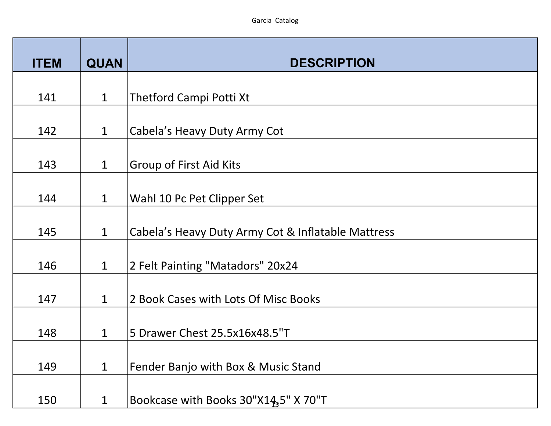| <b>ITEM</b> | <b>QUAN</b>  | <b>DESCRIPTION</b>                                 |
|-------------|--------------|----------------------------------------------------|
| 141         | $\mathbf{1}$ | Thetford Campi Potti Xt                            |
| 142         | $\mathbf{1}$ |                                                    |
|             |              | Cabela's Heavy Duty Army Cot                       |
| 143         | $\mathbf{1}$ | <b>Group of First Aid Kits</b>                     |
| 144         | $\mathbf{1}$ | Wahl 10 Pc Pet Clipper Set                         |
| 145         | $\mathbf{1}$ | Cabela's Heavy Duty Army Cot & Inflatable Mattress |
| 146         | $\mathbf{1}$ | 2 Felt Painting "Matadors" 20x24                   |
| 147         | $\mathbf{1}$ | 2 Book Cases with Lots Of Misc Books               |
| 148         | $\mathbf{1}$ | 5 Drawer Chest 25.5x16x48.5"T                      |
| 149         | $\mathbf 1$  | Fender Banjo with Box & Music Stand                |
| 150         | 1            | Bookcase with Books 30"X14 <sub>3</sub> 5" X 70"T  |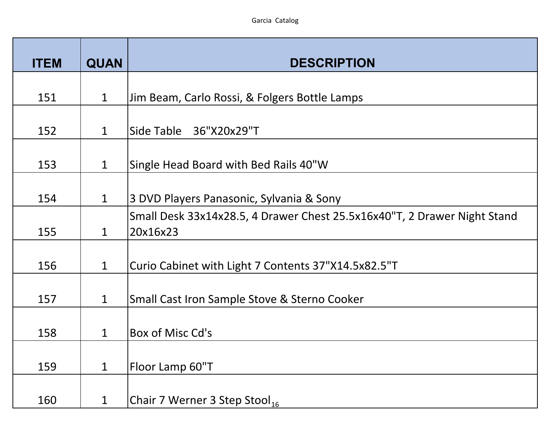| <b>ITEM</b> | <b>QUAN</b>  | <b>DESCRIPTION</b>                                                                   |
|-------------|--------------|--------------------------------------------------------------------------------------|
| 151         | $\mathbf{1}$ | Jim Beam, Carlo Rossi, & Folgers Bottle Lamps                                        |
| 152         | $\mathbf{1}$ | Side Table 36"X20x29"T                                                               |
| 153         | $\mathbf{1}$ | Single Head Board with Bed Rails 40"W                                                |
| 154         | $\mathbf{1}$ | 3 DVD Players Panasonic, Sylvania & Sony                                             |
| 155         | $\mathbf{1}$ | Small Desk 33x14x28.5, 4 Drawer Chest 25.5x16x40"T, 2 Drawer Night Stand<br>20x16x23 |
| 156         | $\mathbf{1}$ | Curio Cabinet with Light 7 Contents 37"X14.5x82.5"T                                  |
| 157         | $\mathbf{1}$ | Small Cast Iron Sample Stove & Sterno Cooker                                         |
| 158         | $\mathbf{1}$ | Box of Misc Cd's                                                                     |
| 159         | $\mathbf 1$  | Floor Lamp 60"T                                                                      |
| 160         | $\mathbf 1$  | Chair 7 Werner 3 Step Stool <sub>16</sub>                                            |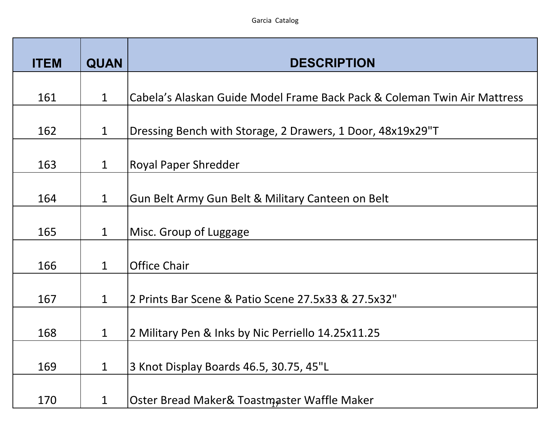| <b>ITEM</b> | <b>QUAN</b>  | <b>DESCRIPTION</b>                                                       |
|-------------|--------------|--------------------------------------------------------------------------|
| 161         | $\mathbf{1}$ | Cabela's Alaskan Guide Model Frame Back Pack & Coleman Twin Air Mattress |
| 162         | $\mathbf{1}$ | Dressing Bench with Storage, 2 Drawers, 1 Door, 48x19x29"T               |
| 163         | $\mathbf 1$  | <b>Royal Paper Shredder</b>                                              |
| 164         | $\mathbf{1}$ | Gun Belt Army Gun Belt & Military Canteen on Belt                        |
|             |              |                                                                          |
| 165         | $\mathbf{1}$ | Misc. Group of Luggage                                                   |
| 166         | $\mathbf{1}$ | <b>Office Chair</b>                                                      |
| 167         | $\mathbf{1}$ | 2 Prints Bar Scene & Patio Scene 27.5x33 & 27.5x32"                      |
| 168         | $\mathbf{1}$ | 2 Military Pen & Inks by Nic Perriello 14.25x11.25                       |
| 169         | 1            | 3 Knot Display Boards 46.5, 30.75, 45"L                                  |
| 170         | 1            | Oster Bread Maker& Toastmaster Waffle Maker                              |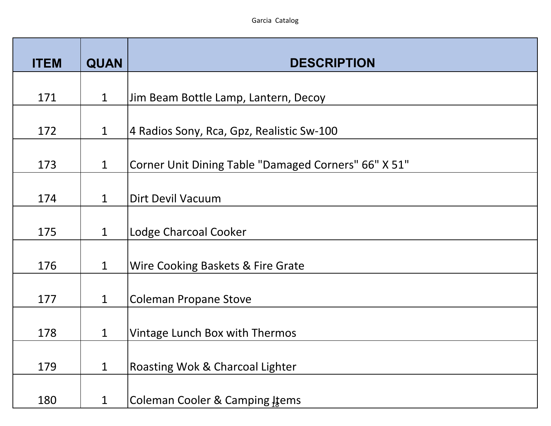| <b>QUAN</b>  | <b>DESCRIPTION</b>                                                                                                                       |
|--------------|------------------------------------------------------------------------------------------------------------------------------------------|
| $\mathbf{1}$ | Jim Beam Bottle Lamp, Lantern, Decoy                                                                                                     |
|              | 4 Radios Sony, Rca, Gpz, Realistic Sw-100                                                                                                |
|              | Corner Unit Dining Table "Damaged Corners" 66" X 51"                                                                                     |
|              | <b>Dirt Devil Vacuum</b>                                                                                                                 |
|              | Lodge Charcoal Cooker                                                                                                                    |
|              | Wire Cooking Baskets & Fire Grate                                                                                                        |
|              | <b>Coleman Propane Stove</b>                                                                                                             |
|              | Vintage Lunch Box with Thermos                                                                                                           |
|              | <b>Roasting Wok &amp; Charcoal Lighter</b>                                                                                               |
|              | Coleman Cooler & Camping Items                                                                                                           |
|              | $\mathbf{1}$<br>$\mathbf{1}$<br>$\mathbf 1$<br>$\mathbf{1}$<br>$\mathbf{1}$<br>$\mathbf 1$<br>$\mathbf{1}$<br>$\mathbf 1$<br>$\mathbf 1$ |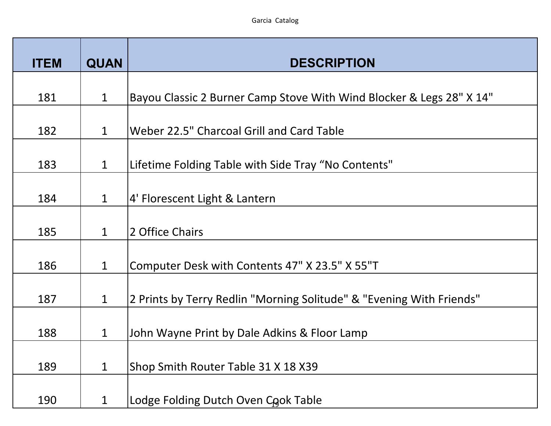| <b>ITEM</b> | <b>QUAN</b>  | <b>DESCRIPTION</b>                                                   |
|-------------|--------------|----------------------------------------------------------------------|
| 181         | $\mathbf{1}$ | Bayou Classic 2 Burner Camp Stove With Wind Blocker & Legs 28" X 14" |
| 182         | $\mathbf 1$  | Weber 22.5" Charcoal Grill and Card Table                            |
| 183         | $\mathbf{1}$ | Lifetime Folding Table with Side Tray "No Contents"                  |
| 184         | $\mathbf{1}$ | 4' Florescent Light & Lantern                                        |
| 185         | $\mathbf{1}$ | 2 Office Chairs                                                      |
| 186         | $\mathbf{1}$ | Computer Desk with Contents 47" X 23.5" X 55"T                       |
| 187         | $\mathbf{1}$ | 2 Prints by Terry Redlin "Morning Solitude" & "Evening With Friends" |
| 188         | $\mathbf 1$  | John Wayne Print by Dale Adkins & Floor Lamp                         |
| 189         | $\mathbf 1$  | Shop Smith Router Table 31 X 18 X39                                  |
| 190         | $\mathbf 1$  | Lodge Folding Dutch Oven Cook Table                                  |